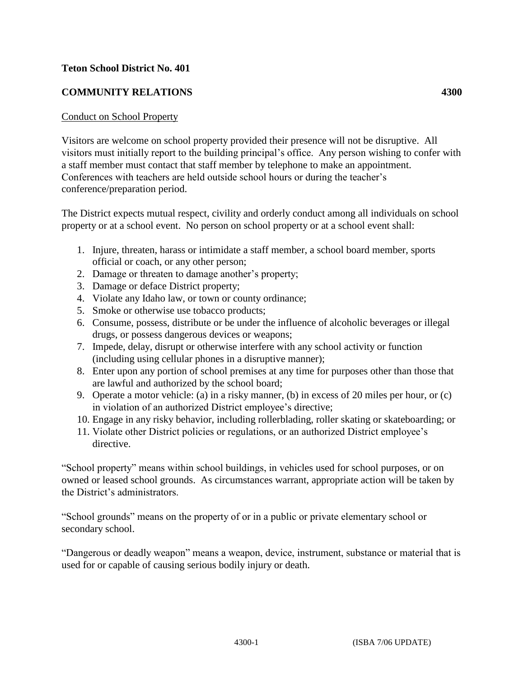## **Teton School District No. 401**

## **COMMUNITY RELATIONS 4300**

## Conduct on School Property

Visitors are welcome on school property provided their presence will not be disruptive. All visitors must initially report to the building principal's office. Any person wishing to confer with a staff member must contact that staff member by telephone to make an appointment. Conferences with teachers are held outside school hours or during the teacher's conference/preparation period.

The District expects mutual respect, civility and orderly conduct among all individuals on school property or at a school event. No person on school property or at a school event shall:

- 1. Injure, threaten, harass or intimidate a staff member, a school board member, sports official or coach, or any other person;
- 2. Damage or threaten to damage another's property;
- 3. Damage or deface District property;
- 4. Violate any Idaho law, or town or county ordinance;
- 5. Smoke or otherwise use tobacco products;
- 6. Consume, possess, distribute or be under the influence of alcoholic beverages or illegal drugs, or possess dangerous devices or weapons;
- 7. Impede, delay, disrupt or otherwise interfere with any school activity or function (including using cellular phones in a disruptive manner);
- 8. Enter upon any portion of school premises at any time for purposes other than those that are lawful and authorized by the school board;
- 9. Operate a motor vehicle: (a) in a risky manner, (b) in excess of 20 miles per hour, or (c) in violation of an authorized District employee's directive;
- 10. Engage in any risky behavior, including rollerblading, roller skating or skateboarding; or
- 11. Violate other District policies or regulations, or an authorized District employee's directive.

"School property" means within school buildings, in vehicles used for school purposes, or on owned or leased school grounds. As circumstances warrant, appropriate action will be taken by the District's administrators.

"School grounds" means on the property of or in a public or private elementary school or secondary school.

"Dangerous or deadly weapon" means a weapon, device, instrument, substance or material that is used for or capable of causing serious bodily injury or death.